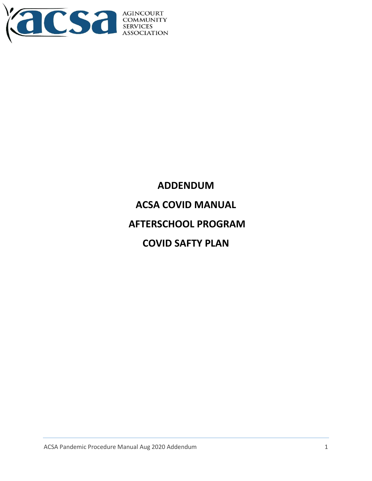

**ADDENDUM ACSA COVID MANUAL AFTERSCHOOL PROGRAM COVID SAFTY PLAN**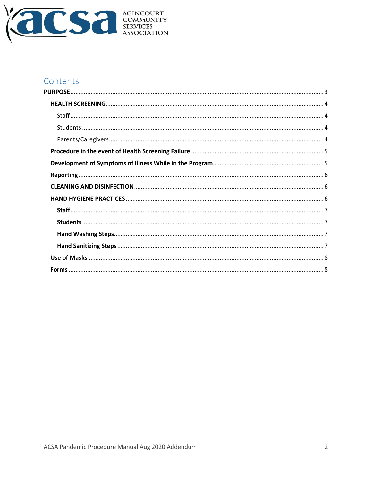

# Contents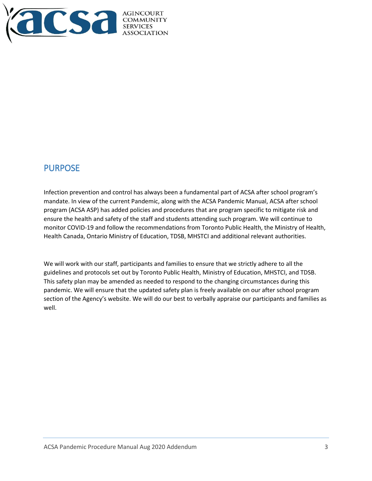

# <span id="page-2-0"></span>PURPOSE

Infection prevention and control has always been a fundamental part of ACSA after school program's mandate. In view of the current Pandemic, along with the ACSA Pandemic Manual, ACSA after school program (ACSA ASP) has added policies and procedures that are program specific to mitigate risk and ensure the health and safety of the staff and students attending such program. We will continue to monitor COVID-19 and follow the recommendations from Toronto Public Health, the Ministry of Health, Health Canada, Ontario Ministry of Education, TDSB, MHSTCI and additional relevant authorities.

We will work with our staff, participants and families to ensure that we strictly adhere to all the guidelines and protocols set out by Toronto Public Health, Ministry of Education, MHSTCI, and TDSB. This safety plan may be amended as needed to respond to the changing circumstances during this pandemic. We will ensure that the updated safety plan is freely available on our after school program section of the Agency's website. We will do our best to verbally appraise our participants and families as well.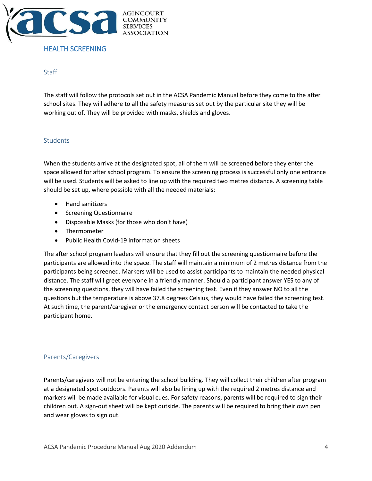

### <span id="page-3-0"></span>HEALTH SCREENING

#### <span id="page-3-1"></span>**Staff**

The staff will follow the protocols set out in the ACSA Pandemic Manual before they come to the after school sites. They will adhere to all the safety measures set out by the particular site they will be working out of. They will be provided with masks, shields and gloves.

#### <span id="page-3-2"></span>**Students**

When the students arrive at the designated spot, all of them will be screened before they enter the space allowed for after school program. To ensure the screening process is successful only one entrance will be used. Students will be asked to line up with the required two metres distance. A screening table should be set up, where possible with all the needed materials:

- Hand sanitizers
- Screening Questionnaire
- Disposable Masks (for those who don't have)
- Thermometer
- Public Health Covid-19 information sheets

The after school program leaders will ensure that they fill out the screening questionnaire before the participants are allowed into the space. The staff will maintain a minimum of 2 metres distance from the participants being screened. Markers will be used to assist participants to maintain the needed physical distance. The staff will greet everyone in a friendly manner. Should a participant answer YES to any of the screening questions, they will have failed the screening test. Even if they answer NO to all the questions but the temperature is above 37.8 degrees Celsius, they would have failed the screening test. At such time, the parent/caregiver or the emergency contact person will be contacted to take the participant home.

### <span id="page-3-3"></span>Parents/Caregivers

Parents/caregivers will not be entering the school building. They will collect their children after program at a designated spot outdoors. Parents will also be lining up with the required 2 metres distance and markers will be made available for visual cues. For safety reasons, parents will be required to sign their children out. A sign-out sheet will be kept outside. The parents will be required to bring their own pen and wear gloves to sign out.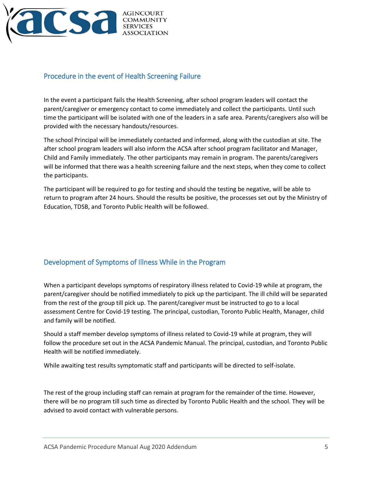

## <span id="page-4-0"></span>Procedure in the event of Health Screening Failure

In the event a participant fails the Health Screening, after school program leaders will contact the parent/caregiver or emergency contact to come immediately and collect the participants. Until such time the participant will be isolated with one of the leaders in a safe area. Parents/caregivers also will be provided with the necessary handouts/resources.

The school Principal will be immediately contacted and informed, along with the custodian at site. The after school program leaders will also inform the ACSA after school program facilitator and Manager, Child and Family immediately. The other participants may remain in program. The parents/caregivers will be informed that there was a health screening failure and the next steps, when they come to collect the participants.

The participant will be required to go for testing and should the testing be negative, will be able to return to program after 24 hours. Should the results be positive, the processes set out by the Ministry of Education, TDSB, and Toronto Public Health will be followed.

### <span id="page-4-1"></span>Development of Symptoms of Illness While in the Program

When a participant develops symptoms of respiratory illness related to Covid-19 while at program, the parent/caregiver should be notified immediately to pick up the participant. The ill child will be separated from the rest of the group till pick up. The parent/caregiver must be instructed to go to a local assessment Centre for Covid-19 testing. The principal, custodian, Toronto Public Health, Manager, child and family will be notified.

Should a staff member develop symptoms of illness related to Covid-19 while at program, they will follow the procedure set out in the ACSA Pandemic Manual. The principal, custodian, and Toronto Public Health will be notified immediately.

While awaiting test results symptomatic staff and participants will be directed to self-isolate.

The rest of the group including staff can remain at program for the remainder of the time. However, there will be no program till such time as directed by Toronto Public Health and the school. They will be advised to avoid contact with vulnerable persons.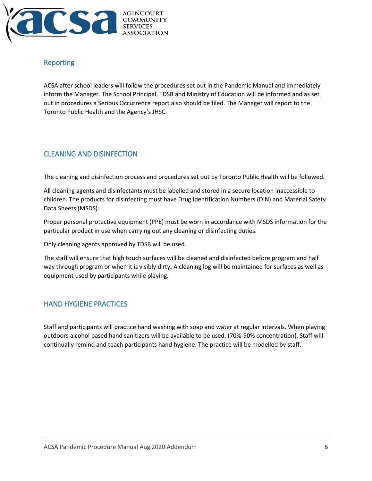

## <span id="page-5-0"></span>Reporting

ACSA after school leaders will follow the procedures set out in the Pandemic Manual and immediately inform the Manager. The School Principal, TDSB and Ministry of Education will be informed and as set out in procedures a Serious Occurrence report also should be filed. The Manager will report to the Toronto Public Health and the Agency's JHSC.

### <span id="page-5-1"></span>CLEANING AND DISINFECTION

The cleaning and disinfection process and procedures set out by Toronto Public Health will be followed.

All cleaning agents and disinfectants must be labelled and stored in a secure location inaccessible to children. The products for disinfecting must have Drug Identification Numbers (DIN) and Material Safety Data Sheets (MSDS).

Proper personal protective equipment (PPE) must be worn in accordance with MSDS information for the particular product in use when carrying out any cleaning or disinfecting duties.

Only cleaning agents approved by TDSB will be used.

The staff will ensure that high touch surfaces will be cleaned and disinfected before program and half way through program or when it is visibly dirty. A cleaning log will be maintained for surfaces as well as equipment used by participants while playing.

### <span id="page-5-2"></span>HAND HYGIENE PRACTICES

Staff and participants will practice hand washing with soap and water at regular intervals. When playing outdoors alcohol based hand sanitizers will be available to be used. (70%-90% concentration). Staff will continually remind and teach participants hand hygiene. The practice will be modelled by staff.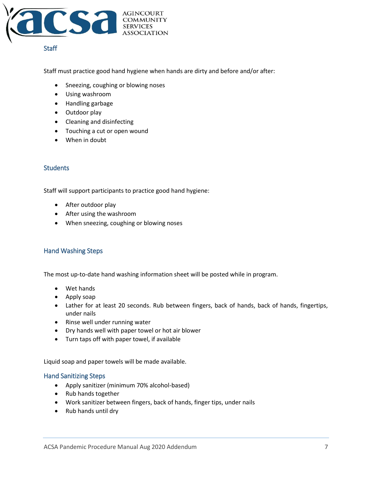

#### <span id="page-6-0"></span>**Staff**

Staff must practice good hand hygiene when hands are dirty and before and/or after:

- Sneezing, coughing or blowing noses
- Using washroom
- Handling garbage
- Outdoor play
- Cleaning and disinfecting
- Touching a cut or open wound
- When in doubt

#### <span id="page-6-1"></span>**Students**

Staff will support participants to practice good hand hygiene:

- After outdoor play
- After using the washroom
- When sneezing, coughing or blowing noses

### <span id="page-6-2"></span>Hand Washing Steps

The most up-to-date hand washing information sheet will be posted while in program.

- Wet hands
- Apply soap
- Lather for at least 20 seconds. Rub between fingers, back of hands, back of hands, fingertips, under nails
- Rinse well under running water
- Dry hands well with paper towel or hot air blower
- Turn taps off with paper towel, if available

Liquid soap and paper towels will be made available.

#### <span id="page-6-3"></span>Hand Sanitizing Steps

- Apply sanitizer (minimum 70% alcohol-based)
- Rub hands together
- Work sanitizer between fingers, back of hands, finger tips, under nails
- Rub hands until dry